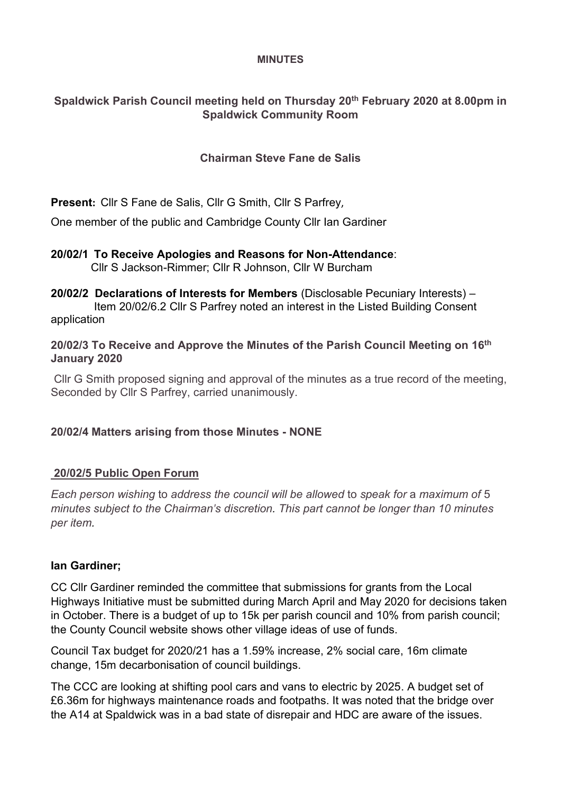#### **MINUTES**

# **Spaldwick Parish Council meeting held on Thursday 20th February 2020 at 8.00pm in Spaldwick Community Room**

# **Chairman Steve Fane de Salis**

**Present:** Cllr S Fane de Salis, Cllr G Smith, Cllr S Parfrey,

One member of the public and Cambridge County Cllr Ian Gardiner

#### **20/02/1 To Receive Apologies and Reasons for Non-Attendance**: Cllr S Jackson-Rimmer; Cllr R Johnson, Cllr W Burcham

**20/02/2 Declarations of Interests for Members** (Disclosable Pecuniary Interests) – Item 20/02/6.2 Cllr S Parfrey noted an interest in the Listed Building Consent application

### **20/02/3 To Receive and Approve the Minutes of the Parish Council Meeting on 16 th January 2020**

Cllr G Smith proposed signing and approval of the minutes as a true record of the meeting, Seconded by Cllr S Parfrey, carried unanimously.

# **20/02/4 Matters arising from those Minutes - NONE**

# **20/02/5 Public Open Forum**

*Each person wishing* to *address the council will be allowed* to *speak for* a *maximum of* 5 *minutes subject to the Chairman's discretion. This part cannot be longer than 10 minutes per item.*

#### **Ian Gardiner;**

CC Cllr Gardiner reminded the committee that submissions for grants from the Local Highways Initiative must be submitted during March April and May 2020 for decisions taken in October. There is a budget of up to 15k per parish council and 10% from parish council; the County Council website shows other village ideas of use of funds.

Council Tax budget for 2020/21 has a 1.59% increase, 2% social care, 16m climate change, 15m decarbonisation of council buildings.

The CCC are looking at shifting pool cars and vans to electric by 2025. A budget set of £6.36m for highways maintenance roads and footpaths. It was noted that the bridge over the A14 at Spaldwick was in a bad state of disrepair and HDC are aware of the issues.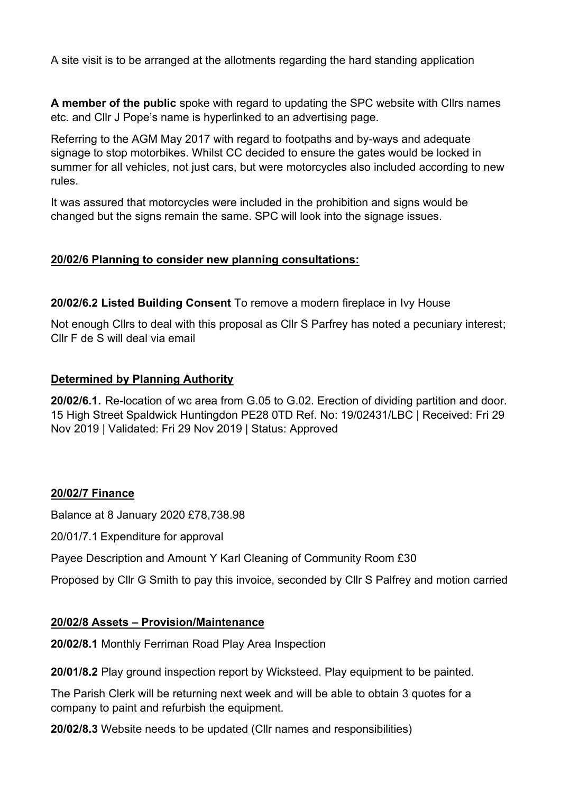A site visit is to be arranged at the allotments regarding the hard standing application

**A member of the public** spoke with regard to updating the SPC website with Cllrs names etc. and Cllr J Pope's name is hyperlinked to an advertising page.

Referring to the AGM May 2017 with regard to footpaths and by-ways and adequate signage to stop motorbikes. Whilst CC decided to ensure the gates would be locked in summer for all vehicles, not just cars, but were motorcycles also included according to new rules.

It was assured that motorcycles were included in the prohibition and signs would be changed but the signs remain the same. SPC will look into the signage issues.

### **20/02/6 Planning to consider new planning consultations:**

**20/02/6.2 Listed Building Consent** To remove a modern fireplace in Ivy House

Not enough Cllrs to deal with this proposal as Cllr S Parfrey has noted a pecuniary interest; Cllr F de S will deal via email

### **Determined by Planning Authority**

**20/02/6.1.** Re-location of wc area from G.05 to G.02. Erection of dividing partition and door. 15 High Street Spaldwick Huntingdon PE28 0TD Ref. No: 19/02431/LBC | Received: Fri 29 Nov 2019 | Validated: Fri 29 Nov 2019 | Status: Approved

#### **20/02/7 Finance**

Balance at 8 January 2020 £78,738.98

20/01/7.1 Expenditure for approval

Payee Description and Amount Y Karl Cleaning of Community Room £30

Proposed by Cllr G Smith to pay this invoice, seconded by Cllr S Palfrey and motion carried

# **20/02/8 Assets – Provision/Maintenance**

**20/02/8.1** Monthly Ferriman Road Play Area Inspection

**20/01/8.2** Play ground inspection report by Wicksteed. Play equipment to be painted.

The Parish Clerk will be returning next week and will be able to obtain 3 quotes for a company to paint and refurbish the equipment.

**20/02/8.3** Website needs to be updated (Cllr names and responsibilities)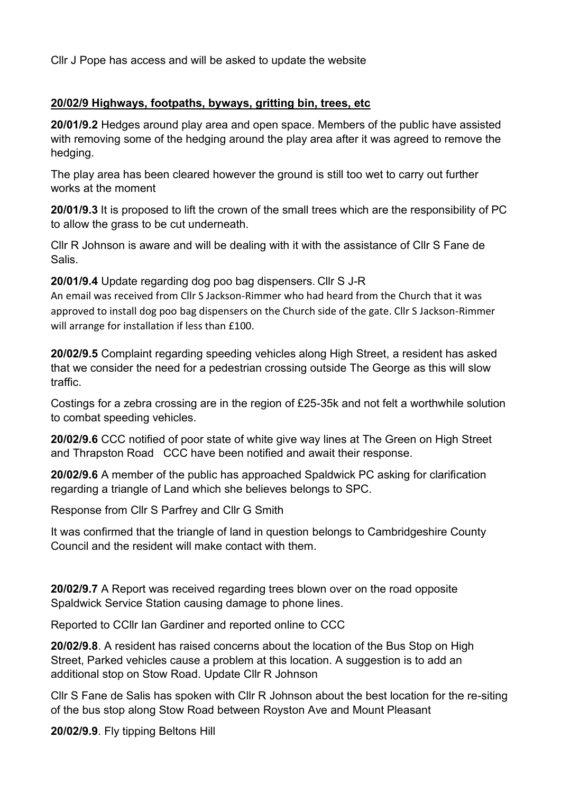Cllr J Pope has access and will be asked to update the website

# **20/02/9 Highways, footpaths, byways, gritting bin, trees, etc**

**20/01/9.2** Hedges around play area and open space. Members of the public have assisted with removing some of the hedging around the play area after it was agreed to remove the hedging.

The play area has been cleared however the ground is still too wet to carry out further works at the moment

**20/01/9.3** It is proposed to lift the crown of the small trees which are the responsibility of PC to allow the grass to be cut underneath.

Cllr R Johnson is aware and will be dealing with it with the assistance of Cllr S Fane de Salis.

**20/01/9.4** Update regarding dog poo bag dispensers. Cllr S J-R

An email was received from Cllr S Jackson-Rimmer who had heard from the Church that it was approved to install dog poo bag dispensers on the Church side of the gate. Cllr S Jackson-Rimmer will arrange for installation if less than £100.

**20/02/9.5** Complaint regarding speeding vehicles along High Street, a resident has asked that we consider the need for a pedestrian crossing outside The George as this will slow traffic.

Costings for a zebra crossing are in the region of £25-35k and not felt a worthwhile solution to combat speeding vehicles.

**20/02/9.6** CCC notified of poor state of white give way lines at The Green on High Street and Thrapston Road CCC have been notified and await their response.

**20/02/9.6** A member of the public has approached Spaldwick PC asking for clarification regarding a triangle of Land which she believes belongs to SPC.

Response from Cllr S Parfrey and Cllr G Smith

It was confirmed that the triangle of land in question belongs to Cambridgeshire County Council and the resident will make contact with them.

**20/02/9.7** A Report was received regarding trees blown over on the road opposite Spaldwick Service Station causing damage to phone lines.

Reported to CCllr Ian Gardiner and reported online to CCC

**20/02/9.8**. A resident has raised concerns about the location of the Bus Stop on High Street, Parked vehicles cause a problem at this location. A suggestion is to add an additional stop on Stow Road. Update Cllr R Johnson

Cllr S Fane de Salis has spoken with Cllr R Johnson about the best location for the re-siting of the bus stop along Stow Road between Royston Ave and Mount Pleasant

**20/02/9.9**. Fly tipping Beltons Hill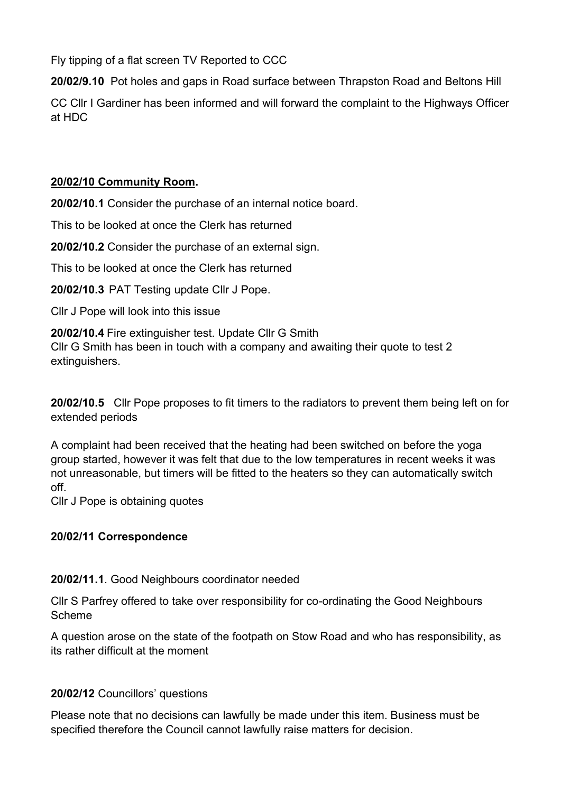Fly tipping of a flat screen TV Reported to CCC

**20/02/9.10** Pot holes and gaps in Road surface between Thrapston Road and Beltons Hill

CC Cllr I Gardiner has been informed and will forward the complaint to the Highways Officer at HDC

# **20/02/10 Community Room.**

**20/02/10.1** Consider the purchase of an internal notice board.

This to be looked at once the Clerk has returned

**20/02/10.2** Consider the purchase of an external sign.

This to be looked at once the Clerk has returned

**20/02/10.3** PAT Testing update Cllr J Pope.

Cllr J Pope will look into this issue

**20/02/10.4** Fire extinguisher test. Update Cllr G Smith Cllr G Smith has been in touch with a company and awaiting their quote to test 2 extinguishers.

**20/02/10.5** Cllr Pope proposes to fit timers to the radiators to prevent them being left on for extended periods

A complaint had been received that the heating had been switched on before the yoga group started, however it was felt that due to the low temperatures in recent weeks it was not unreasonable, but timers will be fitted to the heaters so they can automatically switch off.

Cllr J Pope is obtaining quotes

# **20/02/11 Correspondence**

**20/02/11.1**. Good Neighbours coordinator needed

Cllr S Parfrey offered to take over responsibility for co-ordinating the Good Neighbours Scheme

A question arose on the state of the footpath on Stow Road and who has responsibility, as its rather difficult at the moment

# **20/02/12** Councillors' questions

Please note that no decisions can lawfully be made under this item. Business must be specified therefore the Council cannot lawfully raise matters for decision.